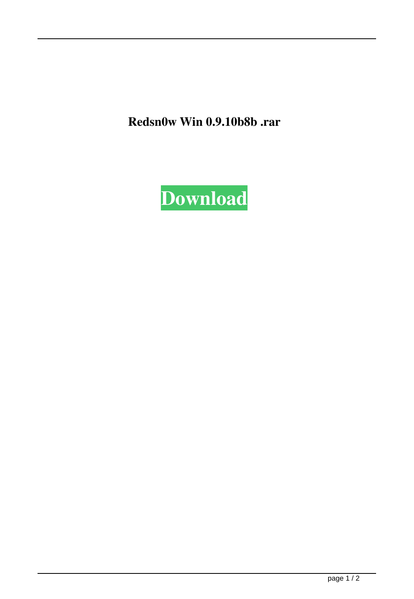Redsn0w Win 0.9.10b8b .rar